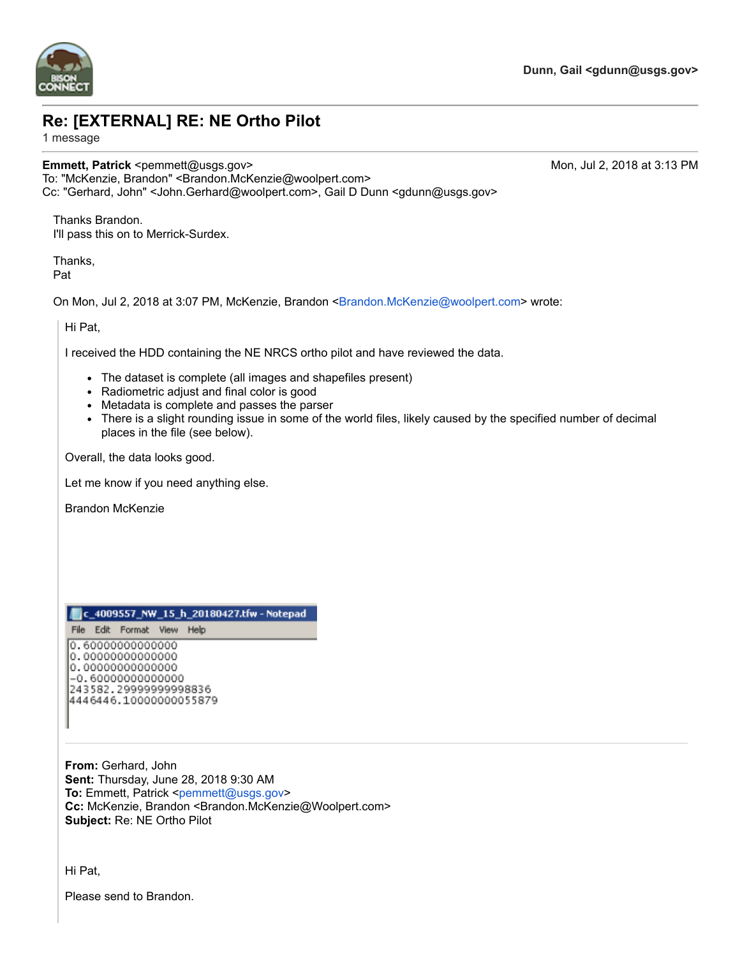

## **Re: [EXTERNAL] RE: NE Ortho Pilot**

1 message

## **Emmett, Patrick** <pemmett@usgs.gov> Mon, Jul 2, 2018 at 3:13 PM To: "McKenzie, Brandon" <Brandon.McKenzie@woolpert.com>

Thanks Brandon. I'll pass this on to Merrick-Surdex.

Thanks, Pat

On Mon, Jul 2, 2018 at 3:07 PM, McKenzie, Brandon [<Brandon.McKenzie@woolpert.com>](mailto:Brandon.McKenzie@woolpert.com) wrote:

Hi Pat,

I received the HDD containing the NE NRCS ortho pilot and have reviewed the data.

Cc: "Gerhard, John" <John.Gerhard@woolpert.com>, Gail D Dunn <gdunn@usgs.gov>

- The dataset is complete (all images and shapefiles present)
- Radiometric adjust and final color is good
- Metadata is complete and passes the parser
- There is a slight rounding issue in some of the world files, likely caused by the specified number of decimal places in the file (see below).

Overall, the data looks good.

Let me know if you need anything else.

Brandon McKenzie

## c\_4009557\_NW\_15\_h\_20180427.tfw - Notepad

File Edit Format View Help

0.6000000000000 0.0000000000000 0.0000000000000 -0.6000000000000 243582.29999999998836 4446446.10000000055879

**From:** Gerhard, John **Sent:** Thursday, June 28, 2018 9:30 AM **To:** Emmett, Patrick [<pemmett@usgs.gov](mailto:pemmett@usgs.gov)> **Cc:** McKenzie, Brandon <Brandon.McKenzie@Woolpert.com> **Subject:** Re: NE Ortho Pilot

Hi Pat,

Please send to Brandon.